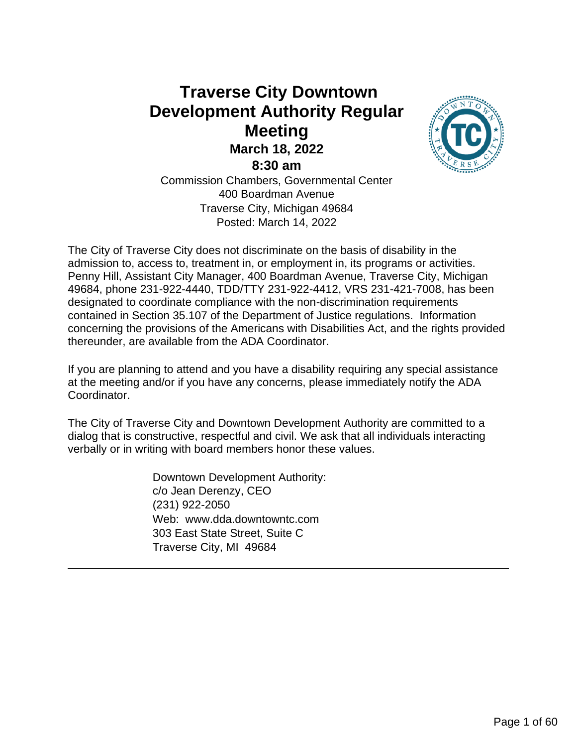## **Traverse City Downtown Development Authority Regular Meeting March 18, 2022 8:30 am**



Commission Chambers, Governmental Center 400 Boardman Avenue Traverse City, Michigan 49684 Posted: March 14, 2022

The City of Traverse City does not discriminate on the basis of disability in the admission to, access to, treatment in, or employment in, its programs or activities. Penny Hill, Assistant City Manager, 400 Boardman Avenue, Traverse City, Michigan 49684, phone 231-922-4440, TDD/TTY 231-922-4412, VRS 231-421-7008, has been designated to coordinate compliance with the non-discrimination requirements contained in Section 35.107 of the Department of Justice regulations. Information concerning the provisions of the Americans with Disabilities Act, and the rights provided thereunder, are available from the ADA Coordinator.

If you are planning to attend and you have a disability requiring any special assistance at the meeting and/or if you have any concerns, please immediately notify the ADA Coordinator.

The City of Traverse City and Downtown Development Authority are committed to a dialog that is constructive, respectful and civil. We ask that all individuals interacting verbally or in writing with board members honor these values.

> Downtown Development Authority: c/o Jean Derenzy, CEO (231) 922-2050 Web: www.dda.downtowntc.com 303 East State Street, Suite C Traverse City, MI 49684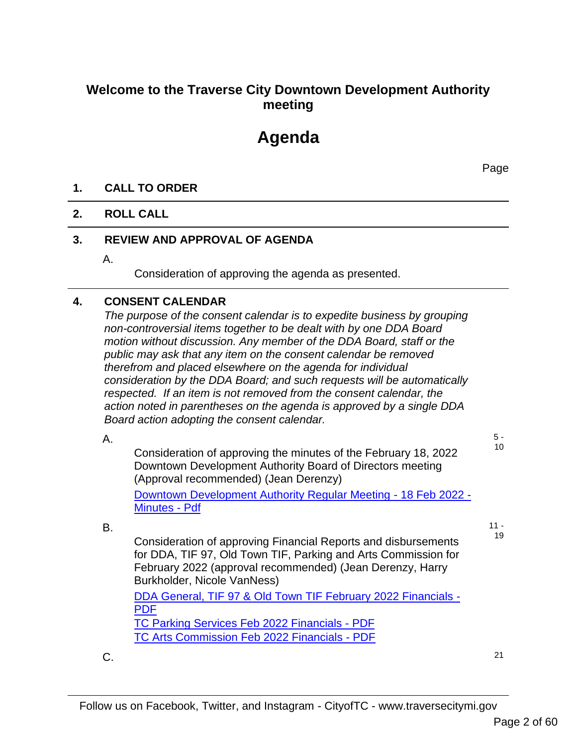## **Welcome to the Traverse City Downtown Development Authority meeting**

# **Agenda**

Page

#### **1. CALL TO ORDER**

#### **2. ROLL CALL**

#### **3. REVIEW AND APPROVAL OF AGENDA**

A.

Consideration of approving the agenda as presented.

#### **4. CONSENT CALENDAR**

*The purpose of the consent calendar is to expedite business by grouping non-controversial items together to be dealt with by one DDA Board motion without discussion. Any member of the DDA Board, staff or the public may ask that any item on the consent calendar be removed therefrom and placed elsewhere on the agenda for individual consideration by the DDA Board; and such requests will be automatically respected. If an item is not removed from the consent calendar, the action noted in parentheses on the agenda is approved by a single DDA Board action adopting the consent calendar.*

A.

B.

5 -

10

Consideration of approving the minutes of the February 18, 2022 Downtown Development Authority Board of Directors meeting (Approval recommended) (Jean Derenzy) Downtown Development Authority Regular Meeting - 18 Feb 2022 - Minutes - Pdf

> $11 -$ 19

Consideration of approving Financial Reports and disbursements for DDA, TIF 97, Old Town TIF, Parking and Arts Commission for February 2022 (approval recommended) (Jean Derenzy, Harry Burkholder, Nicole VanNess)

DDA General, TIF 97 & Old Town TIF February 2022 Financials - PDF TC Parking Services Feb 2022 Financials - PDF TC Arts Commission Feb 2022 Financials - PDF

 $C.$  21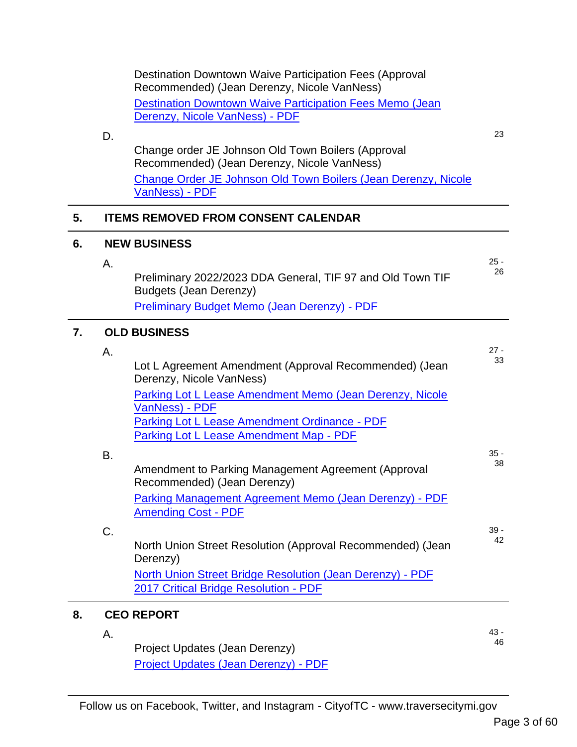|    |                     | <b>Destination Downtown Waive Participation Fees (Approval</b><br>Recommended) (Jean Derenzy, Nicole VanNess) |        |  |
|----|---------------------|---------------------------------------------------------------------------------------------------------------|--------|--|
|    |                     | <b>Destination Downtown Waive Participation Fees Memo (Jean</b>                                               |        |  |
|    |                     | Derenzy, Nicole VanNess) - PDF                                                                                |        |  |
|    | D.                  |                                                                                                               | 23     |  |
|    |                     | Change order JE Johnson Old Town Boilers (Approval<br>Recommended) (Jean Derenzy, Nicole VanNess)             |        |  |
|    |                     | Change Order JE Johnson Old Town Boilers (Jean Derenzy, Nicole<br>VanNess) - PDF                              |        |  |
| 5. |                     | <b>ITEMS REMOVED FROM CONSENT CALENDAR</b>                                                                    |        |  |
| 6. |                     | <b>NEW BUSINESS</b>                                                                                           |        |  |
|    | Α.                  |                                                                                                               | $25 -$ |  |
|    |                     | Preliminary 2022/2023 DDA General, TIF 97 and Old Town TIF<br><b>Budgets (Jean Derenzy)</b>                   | 26     |  |
|    |                     | Preliminary Budget Memo (Jean Derenzy) - PDF                                                                  |        |  |
| 7. | <b>OLD BUSINESS</b> |                                                                                                               |        |  |
|    | Α.                  |                                                                                                               | $27 -$ |  |
|    |                     | Lot L Agreement Amendment (Approval Recommended) (Jean<br>Derenzy, Nicole VanNess)                            | 33     |  |
|    |                     | Parking Lot L Lease Amendment Memo (Jean Derenzy, Nicole<br>VanNess) - PDF                                    |        |  |
|    |                     | Parking Lot L Lease Amendment Ordinance - PDF<br>Parking Lot L Lease Amendment Map - PDF                      |        |  |
|    | Β.                  |                                                                                                               | $35 -$ |  |
|    |                     | Amendment to Parking Management Agreement (Approval<br>Recommended) (Jean Derenzy)                            | 38     |  |
|    |                     | Parking Management Agreement Memo (Jean Derenzy) - PDF<br><b>Amending Cost - PDF</b>                          |        |  |
|    | C.                  |                                                                                                               | $39 -$ |  |
|    |                     | North Union Street Resolution (Approval Recommended) (Jean<br>Derenzy)                                        | 42     |  |
|    |                     | North Union Street Bridge Resolution (Jean Derenzy) - PDF<br>2017 Critical Bridge Resolution - PDF            |        |  |
| 8. |                     | <b>CEO REPORT</b>                                                                                             |        |  |
|    | Α.                  |                                                                                                               | $43 -$ |  |
|    |                     | Project Updates (Jean Derenzy)                                                                                | 46     |  |
|    |                     | Project Updates (Jean Derenzy) - PDF                                                                          |        |  |